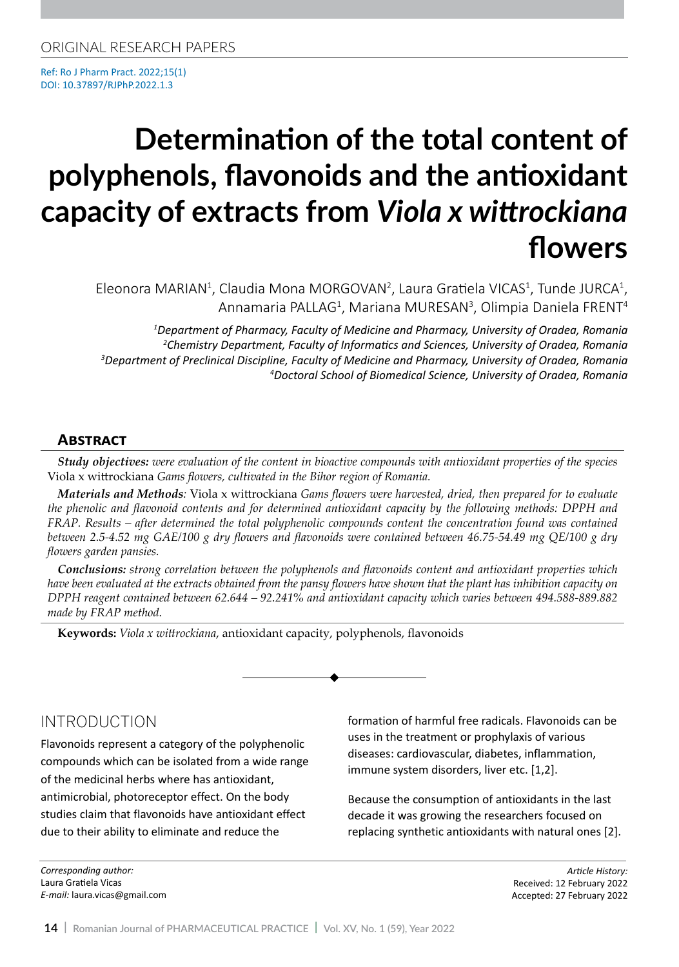Ref: Ro J Pharm Pract. 2022;15(1) DOI: 10.37897/RJPhP.2022.1.3

# **Determination of the total content of polyphenols, flavonoids and the antioxidant capacity of extracts from** *Viola x wittrockiana* **flowers**

Eleonora MARIAN<sup>1</sup>, Claudia Mona MORGOVAN<sup>2</sup>, Laura Gratiela VICAS<sup>1</sup>, Tunde JURCA<sup>1</sup>, Annamaria PALLAG<sup>1</sup>, Mariana MURESAN<sup>3</sup>, Olimpia Daniela FRENT<sup>4</sup>

 *Department of Pharmacy, Faculty of Medicine and Pharmacy, University of Oradea, Romania Chemistry Department, Faculty of Informatics and Sciences, University of Oradea, Romania Department of Preclinical Discipline, Faculty of Medicine and Pharmacy, University of Oradea, Romania Doctoral School of Biomedical Science, University of Oradea, Romania*

#### **Abstract**

*Study objectives: were evaluation of the content in bioactive compounds with antioxidant properties of the species*  Viola x wittrockiana *Gams flowers, cultivated in the Bihor region of Romania.* 

*Materials and Methods:* Viola x wittrockiana *Gams flowers were harvested, dried, then prepared for to evaluate the phenolic and flavonoid contents and for determined antioxidant capacity by the following methods: DPPH and*  FRAP. Results – after determined the total polyphenolic compounds content the concentration found was contained *between 2.5-4.52 mg GAE/100 g dry flowers and flavonoids were contained between 46.75-54.49 mg QE/100 g dry flowers garden pansies.* 

*Conclusions: strong correlation between the polyphenols and flavonoids content and antioxidant properties which have been evaluated at the extracts obtained from the pansy flowers have shown that the plant has inhibition capacity on DPPH reagent contained between 62.644 – 92.241% and antioxidant capacity which varies between 494.588-889.882 made by FRAP method.* 

**Keywords:** *Viola x wittrockiana*, antioxidant capacity, polyphenols, flavonoids

# INTRODUCTION

Flavonoids represent a category of the polyphenolic compounds which can be isolated from a wide range of the medicinal herbs where has antioxidant, antimicrobial, photoreceptor effect. On the body studies claim that flavonoids have antioxidant effect due to their ability to eliminate and reduce the

*Corresponding author:*  Laura Gratiela Vicas *E-mail:* laura.vicas@gmail.com formation of harmful free radicals. Flavonoids can be uses in the treatment or prophylaxis of various diseases: cardiovascular, diabetes, inflammation, immune system disorders, liver etc. [1,2].

Because the consumption of antioxidants in the last decade it was growing the researchers focused on replacing synthetic antioxidants with natural ones [2].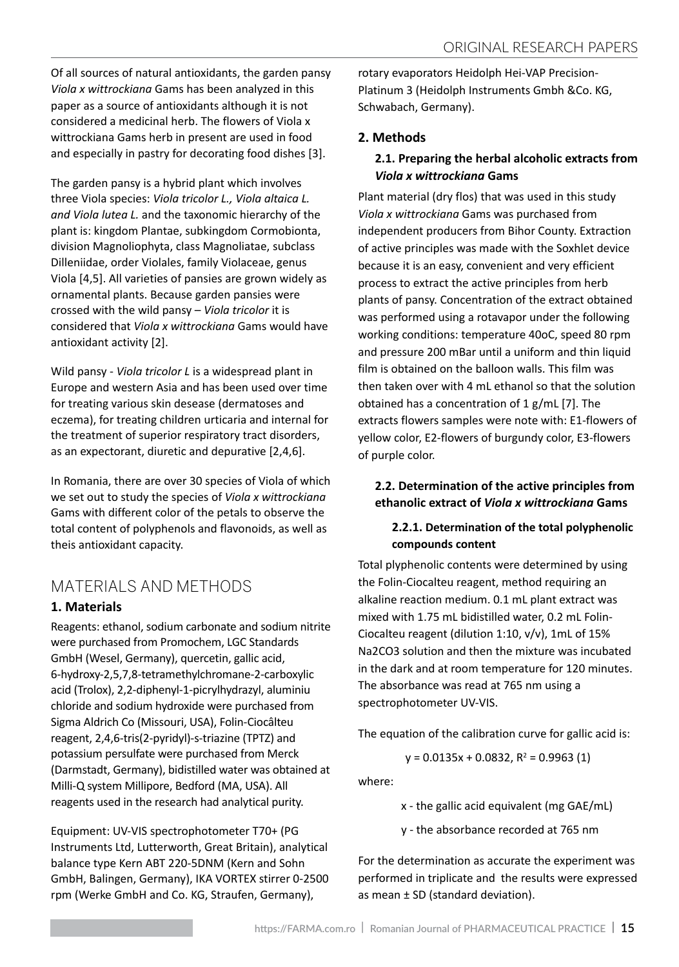Of all sources of natural antioxidants, the garden pansy *Viola x wittrockiana* Gams has been analyzed in this paper as a source of antioxidants although it is not considered a medicinal herb. The flowers of Viola x wittrockiana Gams herb in present are used in food and especially in pastry for decorating food dishes [3].

The garden pansy is a hybrid plant which involves three Viola species: *Viola tricolor L., Viola altaica L. and Viola lutea L.* and the taxonomic hierarchy of the plant is: kingdom Plantae, subkingdom Cormobionta, division Magnoliophyta, class Magnoliatae, subclass Dilleniidae, order Violales, family Violaceae, genus Viola [4,5]. All varieties of pansies are grown widely as ornamental plants. Because garden pansies were crossed with the wild pansy – *Viola tricolor* it is considered that *Viola x wittrockiana* Gams would have antioxidant activity [2].

Wild pansy - *Viola tricolor L* is a widespread plant in Europe and western Asia and has been used over time for treating various skin desease (dermatoses and eczema), for treating children urticaria and internal for the treatment of superior respiratory tract disorders, as an expectorant, diuretic and depurative [2,4,6].

In Romania, there are over 30 species of Viola of which we set out to study the species of *Viola x wittrockiana*  Gams with different color of the petals to observe the total content of polyphenols and flavonoids, as well as theis antioxidant capacity.

# Materials and Methods

### **1. Materials**

Reagents: ethanol, sodium carbonate and sodium nitrite were purchased from Promochem, LGC Standards GmbH (Wesel, Germany), quercetin, gallic acid, 6-hydroxy-2,5,7,8-tetramethylchromane-2-carboxylic acid (Trolox), 2,2-diphenyl-1-picrylhydrazyl, aluminiu chloride and sodium hydroxide were purchased from Sigma Aldrich Co (Missouri, USA), Folin-Ciocâlteu reagent, 2,4,6-tris(2-pyridyl)-s-triazine (TPTZ) and potassium persulfate were purchased from Merck (Darmstadt, Germany), bidistilled water was obtained at Milli-Q system Millipore, Bedford (MA, USA). All reagents used in the research had analytical purity.

Equipment: UV-VIS spectrophotometer T70+ (PG Instruments Ltd, Lutterworth, Great Britain), analytical balance type Kern ABT 220-5DNM (Kern and Sohn GmbH, Balingen, Germany), IKA VORTEX stirrer 0-2500 rpm (Werke GmbH and Co. KG, Straufen, Germany),

rotary evaporators Heidolph Hei-VAP Precision-Platinum 3 (Heidolph Instruments Gmbh &Co. KG, Schwabach, Germany).

# **2. Methods**

# **2.1. Preparing the herbal alcoholic extracts from**  *Viola x wittrockiana* **Gams**

Plant material (dry flos) that was used in this study *Viola x wittrockiana* Gams was purchased from independent producers from Bihor County. Extraction of active principles was made with the Soxhlet device because it is an easy, convenient and very efficient process to extract the active principles from herb plants of pansy. Concentration of the extract obtained was performed using a rotavapor under the following working conditions: temperature 40oC, speed 80 rpm and pressure 200 mBar until a uniform and thin liquid film is obtained on the balloon walls. This film was then taken over with 4 mL ethanol so that the solution obtained has a concentration of 1 g/mL [7]. The extracts flowers samples were note with: E1-flowers of yellow color, E2-flowers of burgundy color, E3-flowers of purple color.

# **2.2. Determination of the active principles from ethanolic extract of** *Viola x wittrockiana* **Gams**

### **2.2.1. Determination of the total polyphenolic compounds content**

Total plyphenolic contents were determined by using the Folin-Ciocalteu reagent, method requiring an alkaline reaction medium. 0.1 mL plant extract was mixed with 1.75 mL bidistilled water, 0.2 mL Folin-Ciocalteu reagent (dilution 1:10, v/v), 1mL of 15% Na2CO3 solution and then the mixture was incubated in the dark and at room temperature for 120 minutes. The absorbance was read at 765 nm using a spectrophotometer UV-VIS.

The equation of the calibration curve for gallic acid is:

 $y = 0.0135x + 0.0832, R^2 = 0.9963(1)$ 

where:

x - the gallic acid equivalent (mg GAE/mL)

y - the absorbance recorded at 765 nm

For the determination as accurate the experiment was performed in triplicate and the results were expressed as mean  $\pm$  SD (standard deviation).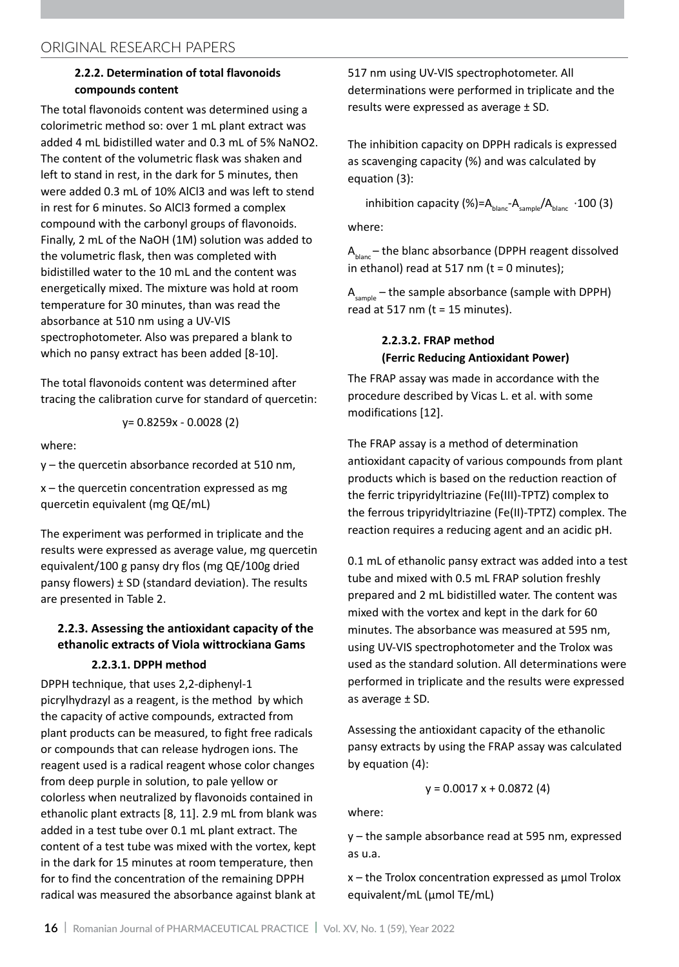#### **2.2.2. Determination of total flavonoids compounds content**

The total flavonoids content was determined using a colorimetric method so: over 1 mL plant extract was added 4 mL bidistilled water and 0.3 mL of 5% NaNO2. The content of the volumetric flask was shaken and left to stand in rest, in the dark for 5 minutes, then were added 0.3 mL of 10% AlCl3 and was left to stend in rest for 6 minutes. So AlCl3 formed a complex compound with the carbonyl groups of flavonoids. Finally, 2 mL of the NaOH (1M) solution was added to the volumetric flask, then was completed with bidistilled water to the 10 mL and the content was energetically mixed. The mixture was hold at room temperature for 30 minutes, than was read the absorbance at 510 nm using a UV-VIS spectrophotometer. Also was prepared a blank to which no pansy extract has been added [8-10].

The total flavonoids content was determined after tracing the calibration curve for standard of quercetin:

$$
y=0.8259x - 0.0028(2)
$$

where:

y – the quercetin absorbance recorded at 510 nm,

 $x$  – the quercetin concentration expressed as mg quercetin equivalent (mg QE/mL)

The experiment was performed in triplicate and the results were expressed as average value, mg quercetin equivalent/100 g pansy dry flos (mg QE/100g dried pansy flowers)  $\pm$  SD (standard deviation). The results are presented in Table 2.

#### **2.2.3. Assessing the antioxidant capacity of the ethanolic extracts of Viola wittrockiana Gams 2.2.3.1. DPPH method**

DPPH technique, that uses 2,2-diphenyl-1 picrylhydrazyl as a reagent, is the method by which the capacity of active compounds, extracted from plant products can be measured, to fight free radicals or compounds that can release hydrogen ions. The reagent used is a radical reagent whose color changes from deep purple in solution, to pale yellow or colorless when neutralized by flavonoids contained in ethanolic plant extracts [8, 11]. 2.9 mL from blank was added in a test tube over 0.1 mL plant extract. The content of a test tube was mixed with the vortex, kept in the dark for 15 minutes at room temperature, then for to find the concentration of the remaining DPPH radical was measured the absorbance against blank at

517 nm using UV-VIS spectrophotometer. All determinations were performed in triplicate and the results were expressed as average ± SD.

The inhibition capacity on DPPH radicals is expressed as scavenging capacity (%) and was calculated by equation (3):

inhibition capacity (%)= $A<sub>blanc</sub>-A<sub>sample</sub>/A<sub>blanc</sub> ·100 (3)$ where:

 $A<sub>hlanc</sub>$  – the blanc absorbance (DPPH reagent dissolved in ethanol) read at 517 nm ( $t = 0$  minutes);

 $A_{sample}$  – the sample absorbance (sample with DPPH) read at 517 nm ( $t = 15$  minutes).

# **2.2.3.2. FRAP method (Ferric Reducing Antioxidant Power)**

The FRAP assay was made in accordance with the procedure described by Vicas L. et al. with some modifications [12].

The FRAP assay is a method of determination antioxidant capacity of various compounds from plant products which is based on the reduction reaction of the ferric tripyridyltriazine (Fe(III)-TPTZ) complex to the ferrous tripyridyltriazine (Fe(II)-TPTZ) complex. The reaction requires a reducing agent and an acidic pH.

0.1 mL of ethanolic pansy extract was added into a test tube and mixed with 0.5 mL FRAP solution freshly prepared and 2 mL bidistilled water. The content was mixed with the vortex and kept in the dark for 60 minutes. The absorbance was measured at 595 nm, using UV-VIS spectrophotometer and the Trolox was used as the standard solution. All determinations were performed in triplicate and the results were expressed as average  $\pm$  SD.

Assessing the antioxidant capacity of the ethanolic pansy extracts by using the FRAP assay was calculated by equation (4):

$$
y = 0.0017 x + 0.0872 (4)
$$

where:

y – the sample absorbance read at 595 nm, expressed as u.a.

x – the Trolox concentration expressed as μmol Trolox equivalent/mL (μmol TE/mL)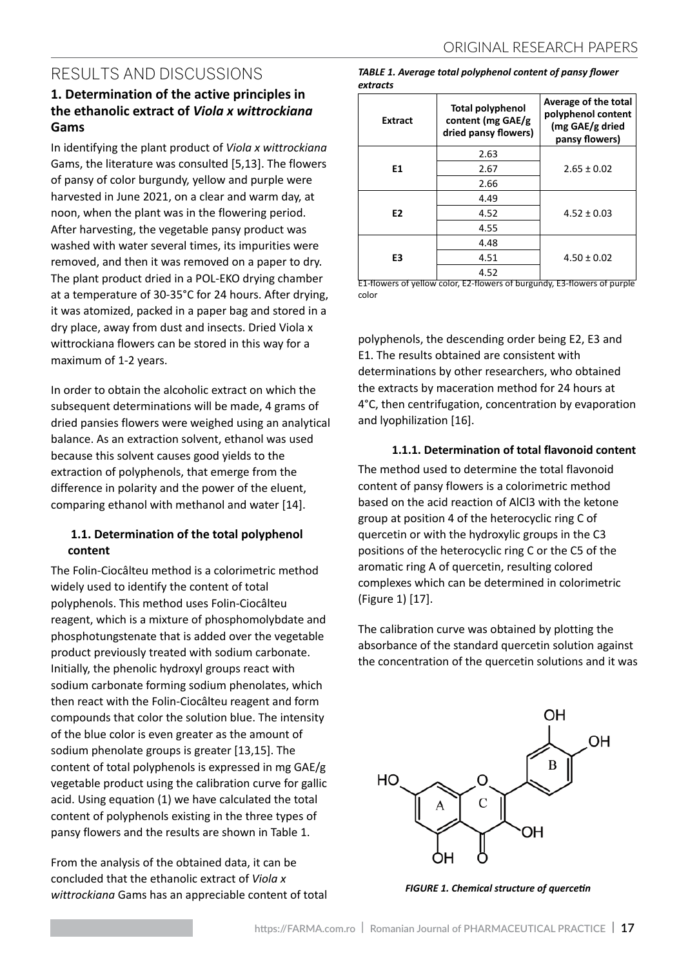# RESULTS AND DISCUSSIONS

# **1. Determination of the active principles in the ethanolic extract of** *Viola x wittrockiana*  **Gams**

In identifying the plant product of *Viola x wittrockiana* Gams, the literature was consulted [5,13]. The flowers of pansy of color burgundy, yellow and purple were harvested in June 2021, on a clear and warm day, at noon, when the plant was in the flowering period. After harvesting, the vegetable pansy product was washed with water several times, its impurities were removed, and then it was removed on a paper to dry. The plant product dried in a POL-EKO drying chamber at a temperature of 30-35°C for 24 hours. After drying, it was atomized, packed in a paper bag and stored in a dry place, away from dust and insects. Dried Viola x wittrockiana flowers can be stored in this way for a maximum of 1-2 years.

In order to obtain the alcoholic extract on which the subsequent determinations will be made, 4 grams of dried pansies flowers were weighed using an analytical balance. As an extraction solvent, ethanol was used because this solvent causes good yields to the extraction of polyphenols, that emerge from the difference in polarity and the power of the eluent, comparing ethanol with methanol and water [14].

# **1.1. Determination of the total polyphenol content**

The Folin-Ciocâlteu method is a colorimetric method widely used to identify the content of total polyphenols. This method uses Folin-Ciocâlteu reagent, which is a mixture of phosphomolybdate and phosphotungstenate that is added over the vegetable product previously treated with sodium carbonate. Initially, the phenolic hydroxyl groups react with sodium carbonate forming sodium phenolates, which then react with the Folin-Ciocâlteu reagent and form compounds that color the solution blue. The intensity of the blue color is even greater as the amount of sodium phenolate groups is greater [13,15]. The content of total polyphenols is expressed in mg GAE/g vegetable product using the calibration curve for gallic acid. Using equation (1) we have calculated the total content of polyphenols existing in the three types of pansy flowers and the results are shown in Table 1.

From the analysis of the obtained data, it can be concluded that the ethanolic extract of *Viola x wittrockiana* Gams has an appreciable content of total

#### *TABLE 1. Average total polyphenol content of pansy flower extracts*

| <b>Extract</b> | <b>Total polyphenol</b><br>content (mg GAE/g<br>dried pansy flowers) | Average of the total<br>polyphenol content<br>(mg GAE/g dried<br>pansy flowers) |
|----------------|----------------------------------------------------------------------|---------------------------------------------------------------------------------|
|                | 2.63                                                                 |                                                                                 |
| E1             | 2.67                                                                 | $2.65 \pm 0.02$                                                                 |
|                | 2.66                                                                 |                                                                                 |
|                | 4.49                                                                 |                                                                                 |
| E <sub>2</sub> | 4.52                                                                 | $4.52 \pm 0.03$                                                                 |
|                | 4.55                                                                 |                                                                                 |
|                | 4.48                                                                 |                                                                                 |
| E3             | 4.51                                                                 | $4.50 \pm 0.02$                                                                 |
|                | 4.52                                                                 |                                                                                 |

E1-flowers of yellow color, E2-flowers of burgundy, E3-flowers of purple color

polyphenols, the descending order being E2, E3 and E1. The results obtained are consistent with determinations by other researchers, who obtained the extracts by maceration method for 24 hours at 4°C, then centrifugation, concentration by evaporation and lyophilization [16].

### **1.1.1. Determination of total flavonoid content**

The method used to determine the total flavonoid content of pansy flowers is a colorimetric method based on the acid reaction of AlCl3 with the ketone group at position 4 of the heterocyclic ring C of quercetin or with the hydroxylic groups in the C3 positions of the heterocyclic ring C or the C5 of the aromatic ring A of quercetin, resulting colored complexes which can be determined in colorimetric (Figure 1) [17].

The calibration curve was obtained by plotting the absorbance of the standard quercetin solution against the concentration of the quercetin solutions and it was



*FIGURE 1. Chemical structure of quercetin*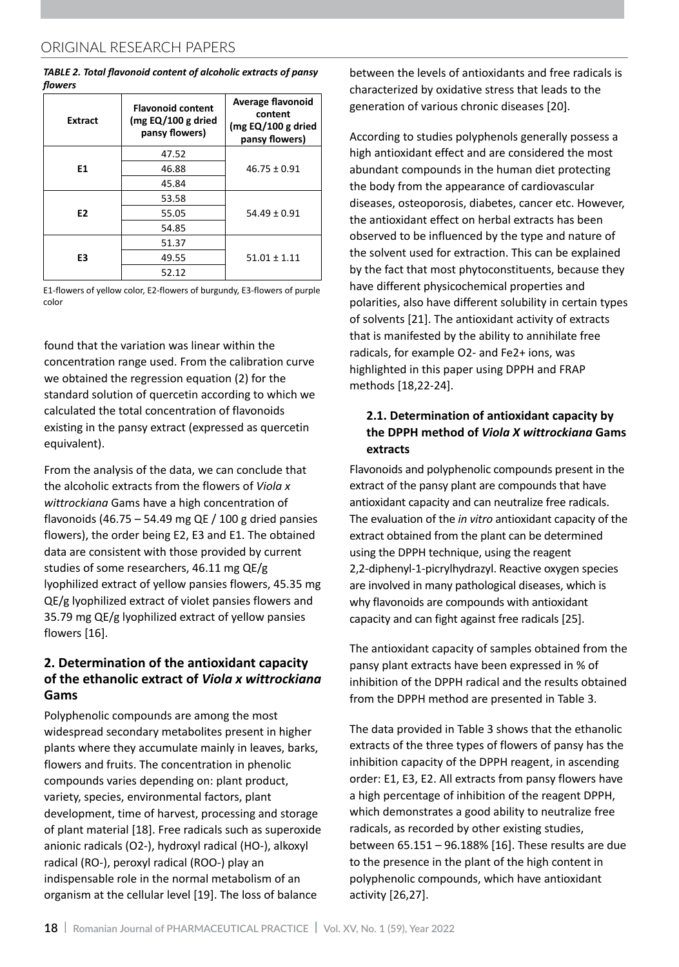*TABLE 2. Total flavonoid content of alcoholic extracts of pansy flowers*

| <b>Extract</b> | <b>Flavonoid content</b><br>( $mg \text{EQ}/100 \text{ g}$ dried<br>pansy flowers) | Average flavonoid<br>content<br>( $mg \text{EQ}/100 \text{ g}$ dried<br>pansy flowers) |
|----------------|------------------------------------------------------------------------------------|----------------------------------------------------------------------------------------|
|                | 47.52                                                                              |                                                                                        |
| E1             | 46.88                                                                              | $46.75 \pm 0.91$                                                                       |
|                | 45.84                                                                              |                                                                                        |
|                | 53.58                                                                              |                                                                                        |
| E <sub>2</sub> | 55.05                                                                              | $54.49 \pm 0.91$                                                                       |
|                | 54.85                                                                              |                                                                                        |
|                | 51.37                                                                              |                                                                                        |
| E3             | 49.55                                                                              | $51.01 \pm 1.11$                                                                       |
|                | 52.12                                                                              |                                                                                        |

E1-flowers of yellow color, E2-flowers of burgundy, E3-flowers of purple color

found that the variation was linear within the concentration range used. From the calibration curve we obtained the regression equation (2) for the standard solution of quercetin according to which we calculated the total concentration of flavonoids existing in the pansy extract (expressed as quercetin equivalent).

From the analysis of the data, we can conclude that the alcoholic extracts from the flowers of *Viola x wittrockiana* Gams have a high concentration of flavonoids (46.75 – 54.49 mg QE  $/$  100 g dried pansies flowers), the order being E2, E3 and E1. The obtained data are consistent with those provided by current studies of some researchers, 46.11 mg QE/g lyophilized extract of yellow pansies flowers, 45.35 mg QE/g lyophilized extract of violet pansies flowers and 35.79 mg QE/g lyophilized extract of yellow pansies flowers [16].

# **2. Determination of the antioxidant capacity of the ethanolic extract of** *Viola x wittrockiana*  **Gams**

Polyphenolic compounds are among the most widespread secondary metabolites present in higher plants where they accumulate mainly in leaves, barks, flowers and fruits. The concentration in phenolic compounds varies depending on: plant product, variety, species, environmental factors, plant development, time of harvest, processing and storage of plant material [18]. Free radicals such as superoxide anionic radicals (O2-), hydroxyl radical (HO-), alkoxyl radical (RO-), peroxyl radical (ROO-) play an indispensable role in the normal metabolism of an organism at the cellular level [19]. The loss of balance

between the levels of antioxidants and free radicals is characterized by oxidative stress that leads to the generation of various chronic diseases [20].

According to studies polyphenols generally possess a high antioxidant effect and are considered the most abundant compounds in the human diet protecting the body from the appearance of cardiovascular diseases, osteoporosis, diabetes, cancer etc. However, the antioxidant effect on herbal extracts has been observed to be influenced by the type and nature of the solvent used for extraction. This can be explained by the fact that most phytoconstituents, because they have different physicochemical properties and polarities, also have different solubility in certain types of solvents [21]. The antioxidant activity of extracts that is manifested by the ability to annihilate free radicals, for example O2- and Fe2+ ions, was highlighted in this paper using DPPH and FRAP methods [18,22-24].

# **2.1. Determination of antioxidant capacity by the DPPH method of** *Viola X wittrockiana* **Gams extracts**

Flavonoids and polyphenolic compounds present in the extract of the pansy plant are compounds that have antioxidant capacity and can neutralize free radicals. The evaluation of the *in vitro* antioxidant capacity of the extract obtained from the plant can be determined using the DPPH technique, using the reagent 2,2-diphenyl-1-picrylhydrazyl. Reactive oxygen species are involved in many pathological diseases, which is why flavonoids are compounds with antioxidant capacity and can fight against free radicals [25].

The antioxidant capacity of samples obtained from the pansy plant extracts have been expressed in % of inhibition of the DPPH radical and the results obtained from the DPPH method are presented in Table 3.

The data provided in Table 3 shows that the ethanolic extracts of the three types of flowers of pansy has the inhibition capacity of the DPPH reagent, in ascending order: E1, E3, E2. All extracts from pansy flowers have a high percentage of inhibition of the reagent DPPH, which demonstrates a good ability to neutralize free radicals, as recorded by other existing studies, between 65.151 – 96.188% [16]. These results are due to the presence in the plant of the high content in polyphenolic compounds, which have antioxidant activity [26,27].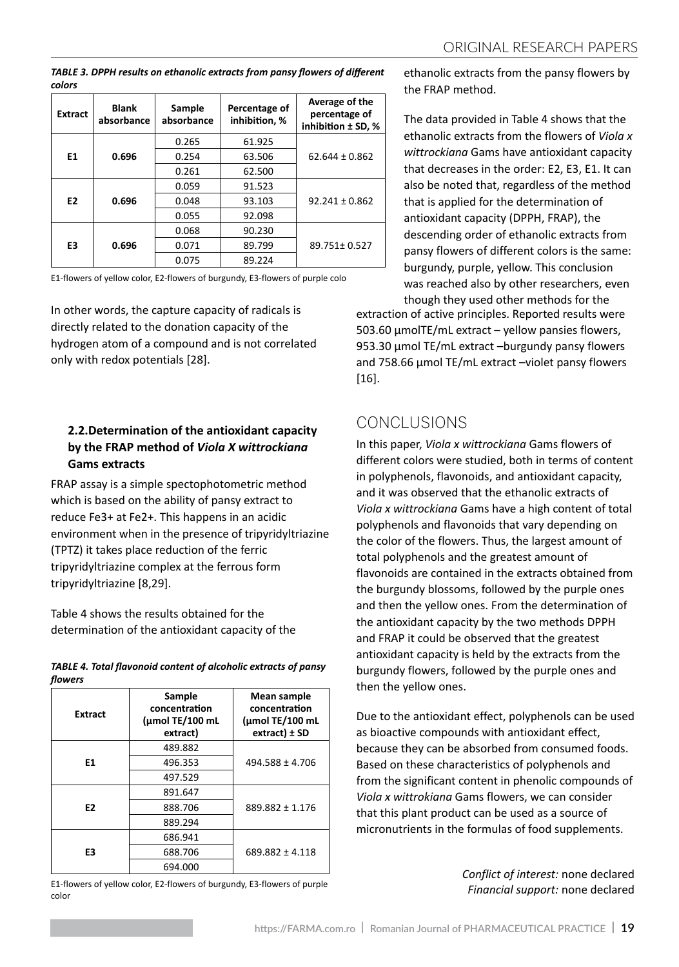*TABLE 3. DPPH results on ethanolic extracts from pansy flowers of different colors*

| <b>Extract</b> | <b>Blank</b><br>absorbance | Sample<br>absorbance | Percentage of<br>inhibition, % | Average of the<br>percentage of<br>inhibition ± SD, % |
|----------------|----------------------------|----------------------|--------------------------------|-------------------------------------------------------|
|                |                            | 0.265                | 61.925                         |                                                       |
| E1             | 0.696                      | 0.254                | 63.506                         | $62.644 \pm 0.862$                                    |
|                |                            | 0.261                | 62.500                         |                                                       |
|                |                            | 0.059                | 91.523                         |                                                       |
| E <sub>2</sub> | 0.696                      | 0.048                | 93.103                         | $92.241 \pm 0.862$                                    |
|                |                            | 0.055                | 92.098                         |                                                       |
|                |                            | 0.068                | 90.230                         |                                                       |
| E <sub>3</sub> | 0.696                      | 0.071                | 89.799                         | 89.751±0.527                                          |
|                |                            | 0.075                | 89.224                         |                                                       |

E1-flowers of yellow color, E2-flowers of burgundy, E3-flowers of purple colo

In other words, the capture capacity of radicals is directly related to the donation capacity of the hydrogen atom of a compound and is not correlated only with redox potentials [28].

# **2.2.Determination of the antioxidant capacity by the FRAP method of** *Viola X wittrockiana*  **Gams extracts**

FRAP assay is a simple spectophotometric method which is based on the ability of pansy extract to reduce Fe3+ at Fe2+. This happens in an acidic environment when in the presence of tripyridyltriazine (TPTZ) it takes place reduction of the ferric tripyridyltriazine complex at the ferrous form tripyridyltriazine [8,29].

Table 4 shows the results obtained for the determination of the antioxidant capacity of the

|         | TABLE 4. Total flavonoid content of alcoholic extracts of pansy |  |  |
|---------|-----------------------------------------------------------------|--|--|
| flowers |                                                                 |  |  |

| <b>Extract</b> | Sample<br>concentration<br>(umol TE/100 mL<br>extract) | Mean sample<br>concentration<br>(umol TE/100 mL<br>$extract$ ) $\pm$ SD |
|----------------|--------------------------------------------------------|-------------------------------------------------------------------------|
|                | 489.882                                                |                                                                         |
| E1             | 496.353                                                | $494.588 \pm 4.706$                                                     |
|                | 497.529                                                |                                                                         |
|                | 891.647                                                |                                                                         |
| E <sub>2</sub> | 888.706                                                | 889.882 + 1.176                                                         |
|                | 889.294                                                |                                                                         |
|                | 686.941                                                |                                                                         |
| E3             | 688.706                                                | 689.882 ± 4.118                                                         |
|                | 694.000                                                |                                                                         |

E1-flowers of yellow color, E2-flowers of burgundy, E3-flowers of purple color

ethanolic extracts from the pansy flowers by the FRAP method.

The data provided in Table 4 shows that the ethanolic extracts from the flowers of *Viola x wittrockiana* Gams have antioxidant capacity that decreases in the order: E2, E3, E1. It can also be noted that, regardless of the method that is applied for the determination of antioxidant capacity (DPPH, FRAP), the descending order of ethanolic extracts from pansy flowers of different colors is the same: burgundy, purple, yellow. This conclusion was reached also by other researchers, even though they used other methods for the

extraction of active principles. Reported results were 503.60 μmolTE/mL extract – yellow pansies flowers, 953.30 μmol TE/mL extract –burgundy pansy flowers and 758.66 μmol TE/mL extract –violet pansy flowers [16].

# Conclusions

In this paper, *Viola x wittrockiana* Gams flowers of different colors were studied, both in terms of content in polyphenols, flavonoids, and antioxidant capacity, and it was observed that the ethanolic extracts of *Viola x wittrockiana* Gams have a high content of total polyphenols and flavonoids that vary depending on the color of the flowers. Thus, the largest amount of total polyphenols and the greatest amount of flavonoids are contained in the extracts obtained from the burgundy blossoms, followed by the purple ones and then the yellow ones. From the determination of the antioxidant capacity by the two methods DPPH and FRAP it could be observed that the greatest antioxidant capacity is held by the extracts from the burgundy flowers, followed by the purple ones and then the yellow ones.

Due to the antioxidant effect, polyphenols can be used as bioactive compounds with antioxidant effect, because they can be absorbed from consumed foods. Based on these characteristics of polyphenols and from the significant content in phenolic compounds of *Viola x wittrokiana* Gams flowers, we can consider that this plant product can be used as a source of micronutrients in the formulas of food supplements.

> *Conflict of interest:* none declared *Financial support:* none declared